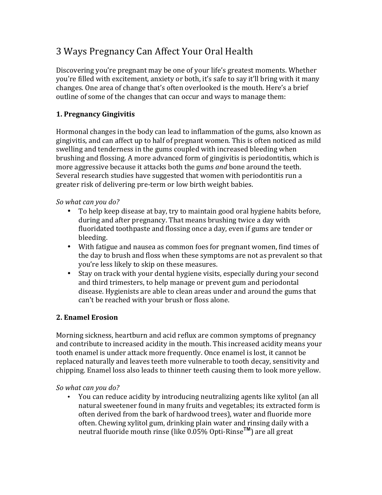# 3 Ways Pregnancy Can Affect Your Oral Health

Discovering you're pregnant may be one of your life's greatest moments. Whether you're filled with excitement, anxiety or both, it's safe to say it'll bring with it many changes. One area of change that's often overlooked is the mouth. Here's a brief outline of some of the changes that can occur and ways to manage them:

## **1. Pregnancy Gingivitis**

Hormonal changes in the body can lead to inflammation of the gums, also known as gingivitis, and can affect up to half of pregnant women. This is often noticed as mild swelling and tenderness in the gums coupled with increased bleeding when brushing and flossing. A more advanced form of gingivitis is periodontitis, which is more aggressive because it attacks both the gums *and* bone around the teeth. Several research studies have suggested that women with periodontitis run a greater risk of delivering pre-term or low birth weight babies.

#### So what can you do?

- To help keep disease at bay, try to maintain good oral hygiene habits before, during and after pregnancy. That means brushing twice a day with fluoridated toothpaste and flossing once a day, even if gums are tender or bleeding.
- With fatigue and nausea as common foes for pregnant women, find times of the day to brush and floss when these symptoms are not as prevalent so that you're less likely to skip on these measures.
- Stay on track with your dental hygiene visits, especially during your second and third trimesters, to help manage or prevent gum and periodontal disease. Hygienists are able to clean areas under and around the gums that can't be reached with your brush or floss alone.

### **2. Enamel Erosion**

Morning sickness, heartburn and acid reflux are common symptoms of pregnancy and contribute to increased acidity in the mouth. This increased acidity means your tooth enamel is under attack more frequently. Once enamel is lost, it cannot be replaced naturally and leaves teeth more vulnerable to tooth decay, sensitivity and chipping. Enamel loss also leads to thinner teeth causing them to look more yellow.

*So what can you do?*

• You can reduce acidity by introducing neutralizing agents like xylitol (an all natural sweetener found in many fruits and vegetables; its extracted form is often derived from the bark of hardwood trees), water and fluoride more often. Chewing xylitol gum, drinking plain water and rinsing daily with a neutral fluoride mouth rinse (like 0.05% Opti-Rinse<sup>TM</sup>) are all great